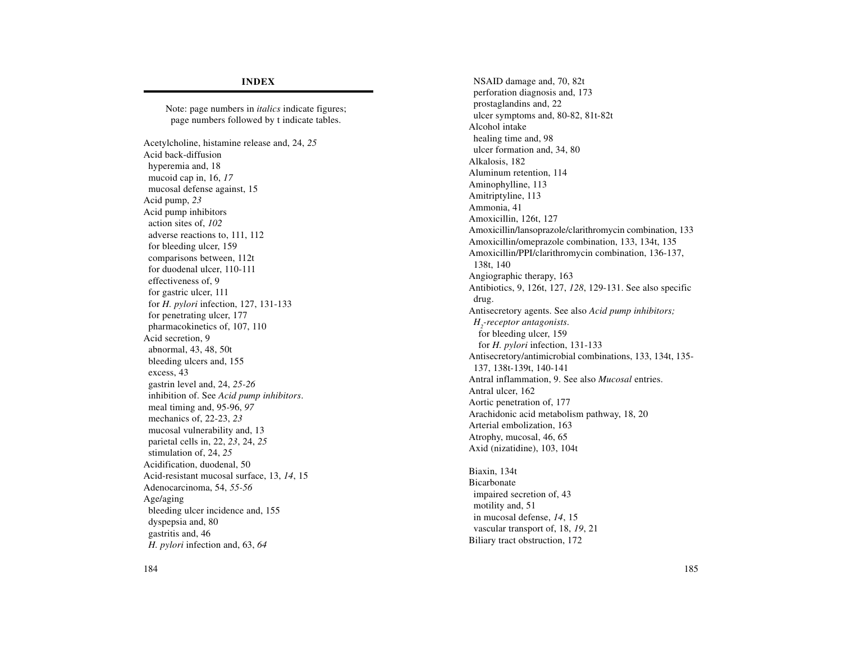## **INDEX**

Note: page numbers in *italics* indicate figures; page numbers followed by t indicate tables. Acetylcholine, histamine release and, 24, *25* Acid back-diffusion hyperemia and, 18 mucoid cap in, 16, *17* mucosal defense against, 15 Acid pump, *23* Acid pump inhibitors action sites of, *102* adverse reactions to, 111, 112 for bleeding ulcer, 159 comparisons between, 112t for duodenal ulcer, 110-111 effectiveness of, 9 for gastric ulcer, 111 for *H. pylori* infection, 127, 131-133 for penetrating ulcer, 177 pharmacokinetics of, 107, 110 Acid secretion, 9 abnormal, 43, 48, 50t bleeding ulcers and, 155 excess, 43 gastrin level and, 24, *25-26* inhibition of. See *Acid pump inhibitors*. meal timing and, 95-96, *97* mechanics of, 22-23, *23* mucosal vulnerability and, 13 parietal cells in, 22, *23*, 24, *25* stimulation of, 24, *25* Acidification, duodenal, 50 Acid-resistant mucosal surface, 13, *14*, 15 Adenocarcinoma, 54, *55-56* Age/aging bleeding ulcer incidence and, 155 dyspepsia and, 80 gastritis and, 46 *H. pylori* infection and, 63, *64*

NSAID damage and, 70, 82t perforation diagnosis and, 173 prostaglandins and, 22 ulcer symptoms and, 80-82, 81t-82t Alcohol intake healing time and, 98 ulcer formation and, 34, 80 Alkalosis, 182 Aluminum retention, 114 Aminophylline, 113 Amitriptyline, 113 Ammonia, 41 Amoxicillin, 126t, 127 Amoxicillin/lansoprazole/clarithromycin combination, 133 Amoxicillin/omeprazole combination, 133, 134t, 135 Amoxicillin/PPI/clarithromycin combination, 136-137, 138t, 140 Angiographic therapy, 163 Antibiotics, 9, 126t, 127, *128*, 129-131. See also specific drug. Antisecretory agents. See also *Acid pump inhibitors; H2-receptor antagonists*. for bleeding ulcer, 159 for *H. pylori* infection, 131-133 Antisecretory/antimicrobial combinations, 133, 134t, 135- 137, 138t-139t, 140-141 Antral inflammation, 9. See also *Mucosal* entries. Antral ulcer, 162 Aortic penetration of, 177 Arachidonic acid metabolism pathway, 18, 20 Arterial embolization, 163 Atrophy, mucosal, 46, 65 Axid (nizatidine), 103, 104t

Biaxin, 134t Bicarbonate impaired secretion of, 43 motility and, 51 in mucosal defense, *14*, 15 vascular transport of, 18, *19*, 21 Biliary tract obstruction, 172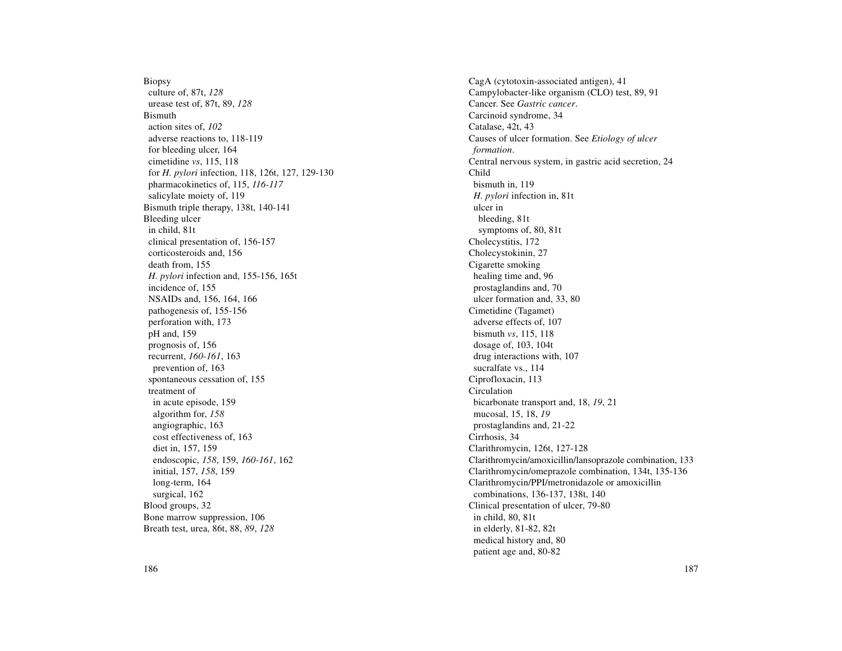Biopsy culture of, 87t, *128* urease test of, 87t, 89, *128* Bismuth action sites of, *102* adverse reactions to, 118-119 for bleeding ulcer, 164 cimetidine *vs*, 115, 118 for *H. pylori* infection, 118, 126t, 127, 129-130 pharmacokinetics of, 115, *116-117* salicylate moiety of, 119 Bismuth triple therapy, 138t, 140-141 Bleeding ulcer in child, 81t clinical presentation of, 156-157 corticosteroids and, 156 death from, 155 *H. pylori* infection and, 155-156, 165t incidence of, 155 NSAIDs and, 156, 164, 166 pathogenesis of, 155-156 perforation with, 173 pH and, 159 prognosis of, 156 recurrent, *160-161*, 163 prevention of, 163 spontaneous cessation of, 155 treatment of in acute episode, 159 algorithm for, *158* angiographic, 163 cost effectiveness of, 163 diet in, 157, 159 endoscopic, *158*, 159, *160-161*, 162 initial, 157, *158*, 159 long-term, 164 surgical, 162 Blood groups, 32 Bone marrow suppression, 106 Breath test, urea, 86t, 88, *89*, *128*

CagA (cytotoxin-associated antigen), 41 Campylobacter-like organism (CLO) test, 89, 91 Cancer. See *Gastric cancer*. Carcinoid syndrome, 34 Catalase, 42t, 43 Causes of ulcer formation. See *Etiology of ulcer formation*. Central nervous system, in gastric acid secretion, 24 Child bismuth in, 119 *H. pylori* infection in, 81t ulcer in bleeding, 81t symptoms of, 80, 81t Cholecystitis, 172 Cholecystokinin, 27 Cigarette smoking healing time and, 96 prostaglandins and, 70 ulcer formation and, 33, 80 Cimetidine (Tagamet) adverse effects of, 107 bismuth *vs*, 115, 118 dosage of, 103, 104t drug interactions with, 107 sucralfate vs., 114 Ciprofloxacin, 113 Circulation bicarbonate transport and, 18, *19*, 21 mucosal, 15, 18, *19* prostaglandins and, 21-22 Cirrhosis, 34 Clarithromycin, 126t, 127-128 Clarithromycin/amoxicillin/lansoprazole combination, 133 Clarithromycin/omeprazole combination, 134t, 135-136 Clarithromycin/PPI/metronidazole or amoxicillin combinations, 136-137, 138t, 140 Clinical presentation of ulcer, 79-80 in child, 80, 81t in elderly, 81-82, 82t medical history and, 80 patient age and, 80-82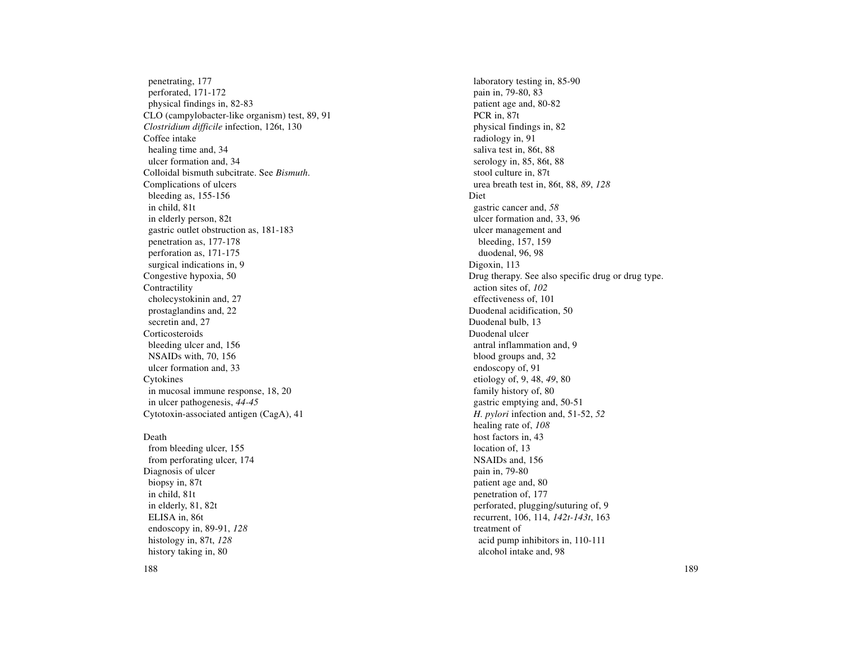penetrating, 177 perforated, 171-172 physical findings in, 82-83 CLO (campylobacter-like organism) test, 89, 91 *Clostridium difficile* infection, 126t, 130 Coffee intake healing time and, 34 ulcer formation and, 34 Colloidal bismuth subcitrate. See *Bismuth*. Complications of ulcers bleeding as, 155-156 in child, 81t in elderly person, 82t gastric outlet obstruction as, 181-183 penetration as, 177-178 perforation as, 171-175 surgical indications in, 9 Congestive hypoxia, 50 Contractility cholecystokinin and, 27 prostaglandins and, 22 secretin and, 27 **Corticosteroids** bleeding ulcer and, 156 NSAIDs with, 70, 156 ulcer formation and, 33 Cytokines in mucosal immune response, 18, 20 in ulcer pathogenesis, *44-45* Cytotoxin-associated antigen (CagA), 41

Death from bleeding ulcer, 155 from perforating ulcer, 174 Diagnosis of ulcer biopsy in, 87t in child, 81t in elderly, 81, 82t ELISA in, 86t endoscopy in, 89-91, *128* histology in, 87t, *128* history taking in, 80

laboratory testing in, 85-90 pain in, 79-80, 83 patient age and, 80-82 PCR in, 87t physical findings in, 82 radiology in, 91 saliva test in, 86t, 88 serology in, 85, 86t, 88 stool culture in, 87t urea breath test in, 86t, 88, *89*, *128* Diet gastric cancer and, *58* ulcer formation and, 33, 96 ulcer management and bleeding, 157, 159 duodenal, 96, 98 Digoxin, 113 Drug therapy. See also specific drug or drug type. action sites of, *102* effectiveness of, 101 Duodenal acidification, 50 Duodenal bulb, 13 Duodenal ulcer antral inflammation and, 9 blood groups and, 32 endoscopy of, 91 etiology of, 9, 48, *49*, 80 family history of, 80 gastric emptying and, 50-51 *H. pylori* infection and, 51-52, *52* healing rate of, *108* host factors in, 43 location of, 13 NSAIDs and, 156 pain in, 79-80 patient age and, 80 penetration of, 177 perforated, plugging/suturing of, 9 recurrent, 106, 114, *142t-143t*, 163 treatment of acid pump inhibitors in, 110-111 alcohol intake and, 98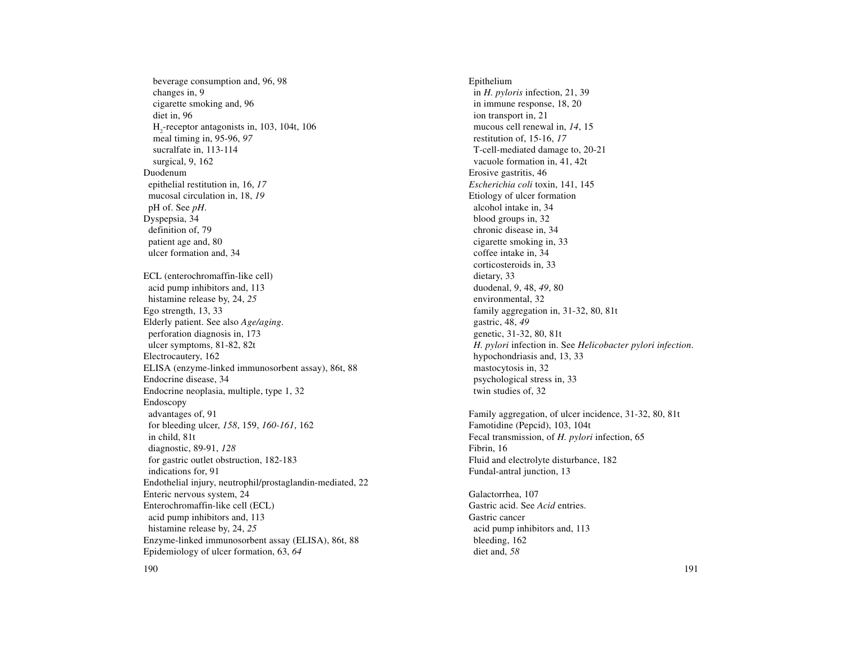beverage consumption and, 96, 98 changes in, 9 cigarette smoking and, 96 diet in, 96 H2-receptor antagonists in, 103, 104t, 106 meal timing in, 95-96, *97* sucralfate in, 113-114 surgical, 9, 162 Duodenum epithelial restitution in, 16, *17* mucosal circulation in, 18, *19* pH of. See *pH*. Dyspepsia, 34 definition of, 79 patient age and, 80 ulcer formation and, 34 ECL (enterochromaffin-like cell) acid pump inhibitors and, 113 histamine release by, 24, *25* Ego strength, 13, 33 Elderly patient. See also *Age/aging*. perforation diagnosis in, 173 ulcer symptoms, 81-82, 82t Electrocautery, 162 ELISA (enzyme-linked immunosorbent assay), 86t, 88 Endocrine disease, 34 Endocrine neoplasia, multiple, type 1, 32 Endoscopy advantages of, 91 for bleeding ulcer, *158*, 159, *160-161*, 162 in child, 81t diagnostic, 89-91, *128* for gastric outlet obstruction, 182-183 indications for, 91 Endothelial injury, neutrophil/prostaglandin-mediated, 22 Enteric nervous system, 24 Enterochromaffin-like cell (ECL) acid pump inhibitors and, 113 histamine release by, 24, *25* Enzyme-linked immunosorbent assay (ELISA), 86t, 88 Epidemiology of ulcer formation, 63, *64*

Epithelium in *H. pyloris* infection, 21, 39 in immune response, 18, 20 ion transport in, 21 mucous cell renewal in, *14*, 15 restitution of, 15-16, *17* T-cell-mediated damage to, 20-21 vacuole formation in, 41, 42t Erosive gastritis, 46 *Escherichia coli* toxin, 141, 145 Etiology of ulcer formation alcohol intake in, 34 blood groups in, 32 chronic disease in, 34 cigarette smoking in, 33 coffee intake in, 34 corticosteroids in, 33 dietary, 33 duodenal, 9, 48, *49*, 80 environmental, 32 family aggregation in, 31-32, 80, 81t gastric, 48, *49* genetic, 31-32, 80, 81t *H. pylori* infection in. See *Helicobacter pylori infection*. hypochondriasis and, 13, 33 mastocytosis in, 32 psychological stress in, 33 twin studies of, 32

Family aggregation, of ulcer incidence, 31-32, 80, 81t Famotidine (Pepcid), 103, 104t Fecal transmission, of *H. pylori* infection, 65 Fibrin, 16 Fluid and electrolyte disturbance, 182 Fundal-antral junction, 13

Galactorrhea, 107 Gastric acid. See *Acid* entries. Gastric cancer acid pump inhibitors and, 113 bleeding, 162 diet and, *58*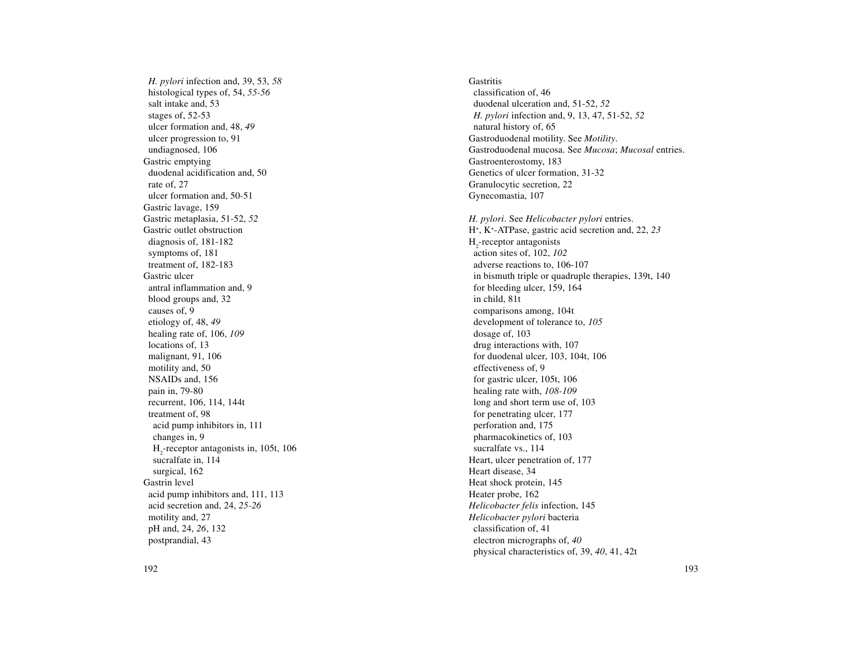*H. pylori* infection and, 39, 53, *58* histological types of, 54, *55-56* salt intake and, 53 stages of, 52-53 ulcer formation and, 48, *49* ulcer progression to, 91 undiagnosed, 106 Gastric emptying duodenal acidification and, 50 rate of, 27 ulcer formation and, 50-51 Gastric lavage, 159 Gastric metaplasia, 51-52, *52* Gastric outlet obstruction diagnosis of, 181-182 symptoms of, 181 treatment of, 182-183 Gastric ulcer antral inflammation and, 9 blood groups and, 32 causes of, 9 etiology of, 48, *49* healing rate of, 106, *109* locations of, 13 malignant, 91, 106 motility and, 50 NSAIDs and, 156 pain in, 79-80 recurrent, 106, 114, 144t treatment of, 98 acid pump inhibitors in, 111 changes in, 9 H<sub>2</sub>-receptor antagonists in, 105t, 106 sucralfate in, 114 surgical, 162 Gastrin level acid pump inhibitors and, 111, 113 acid secretion and, 24, *25-26* motility and, 27 pH and, 24, *26*, 132 postprandial, 43

**Gastritis** classification of, 46 duodenal ulceration and, 51-52, *52 H. pylori* infection and, 9, 13, 47, 51-52, *52* natural history of, 65 Gastroduodenal motility. See *Motility*. Gastroduodenal mucosa. See *Mucosa*; *Mucosal* entries. Gastroenterostomy, 183 Genetics of ulcer formation, 31-32 Granulocytic secretion, 22 Gynecomastia, 107 *H. pylori*. See *Helicobacter pylori* entries. H+, K+-ATPase, gastric acid secretion and, 22, *23* H<sub>2</sub>-receptor antagonists action sites of, 102, *102* adverse reactions to, 106-107 in bismuth triple or quadruple therapies, 139t, 140 for bleeding ulcer, 159, 164 in child, 81t comparisons among, 104t development of tolerance to, *105* dosage of, 103 drug interactions with, 107 for duodenal ulcer, 103, 104t, 106 effectiveness of, 9 for gastric ulcer, 105t, 106 healing rate with, *108-109* long and short term use of, 103 for penetrating ulcer, 177 perforation and, 175 pharmacokinetics of, 103 sucralfate vs., 114 Heart, ulcer penetration of, 177 Heart disease, 34 Heat shock protein, 145 Heater probe, 162 *Helicobacter felis* infection, 145 *Helicobacter pylori* bacteria classification of, 41 electron micrographs of, *40* physical characteristics of, 39, *40*, 41, 42t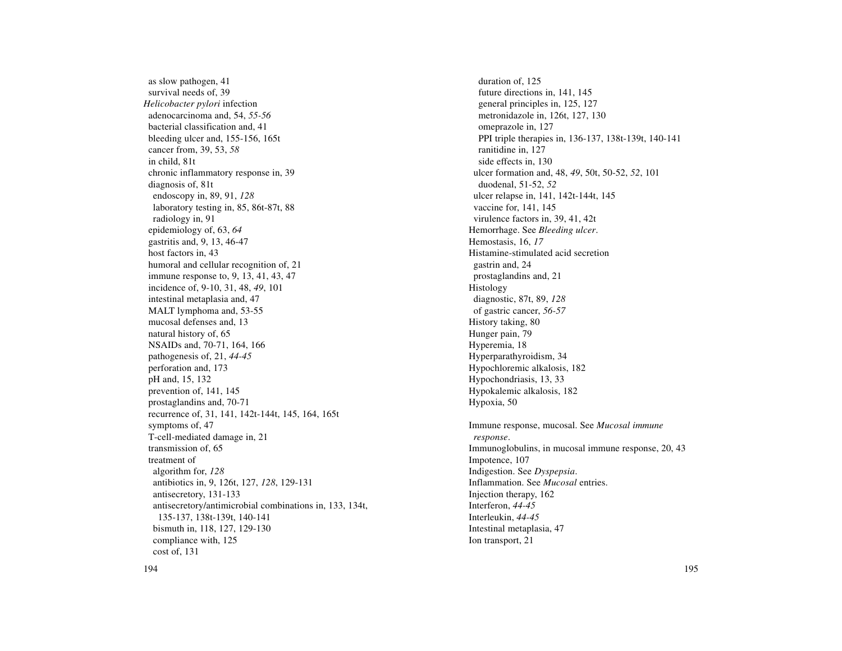as slow pathogen, 41 survival needs of, 39 *Helicobacter pylori* infection adenocarcinoma and, 54, *55-56* bacterial classification and, 41 bleeding ulcer and, 155-156, 165t cancer from, 39, 53, *58* in child, 81t chronic inflammatory response in, 39 diagnosis of, 81t endoscopy in, 89, 91, *128* laboratory testing in, 85, 86t-87t, 88 radiology in, 91 epidemiology of, 63, *64* gastritis and, 9, 13, 46-47 host factors in, 43 humoral and cellular recognition of, 21 immune response to, 9, 13, 41, 43, 47 incidence of, 9-10, 31, 48, *49*, 101 intestinal metaplasia and, 47 MALT lymphoma and, 53-55 mucosal defenses and, 13 natural history of, 65 NSAIDs and, 70-71, 164, 166 pathogenesis of, 21, *44-45* perforation and, 173 pH and, 15, 132 prevention of, 141, 145 prostaglandins and, 70-71 recurrence of, 31, 141, 142t-144t, 145, 164, 165t symptoms of, 47 T-cell-mediated damage in, 21 transmission of, 65 treatment of algorithm for, *128* antibiotics in, 9, 126t, 127, *128*, 129-131 antisecretory, 131-133 antisecretory/antimicrobial combinations in, 133, 134t, 135-137, 138t-139t, 140-141 bismuth in, 118, 127, 129-130 compliance with, 125 cost of, 131

duration of, 125 future directions in, 141, 145 general principles in, 125, 127 metronidazole in, 126t, 127, 130 omeprazole in, 127 PPI triple therapies in, 136-137, 138t-139t, 140-141 ranitidine in, 127 side effects in, 130 ulcer formation and, 48, *49*, 50t, 50-52, *52*, 101 duodenal, 51-52, *52* ulcer relapse in, 141, 142t-144t, 145 vaccine for, 141, 145 virulence factors in, 39, 41, 42t Hemorrhage. See *Bleeding ulcer*. Hemostasis, 16, *17* Histamine-stimulated acid secretion gastrin and, 24 prostaglandins and, 21 Histology diagnostic, 87t, 89, *128* of gastric cancer, *56-57* History taking, 80 Hunger pain, 79 Hyperemia, 18 Hyperparathyroidism, 34 Hypochloremic alkalosis, 182 Hypochondriasis, 13, 33 Hypokalemic alkalosis, 182 Hypoxia, 50 Immune response, mucosal. See *Mucosal immune response*. Immunoglobulins, in mucosal immune response, 20, 43 Impotence, 107 Indigestion. See *Dyspepsia*. Inflammation. See *Mucosal* entries. Injection therapy, 162 Interferon, *44-45* Interleukin, *44-45* Intestinal metaplasia, 47 Ion transport, 21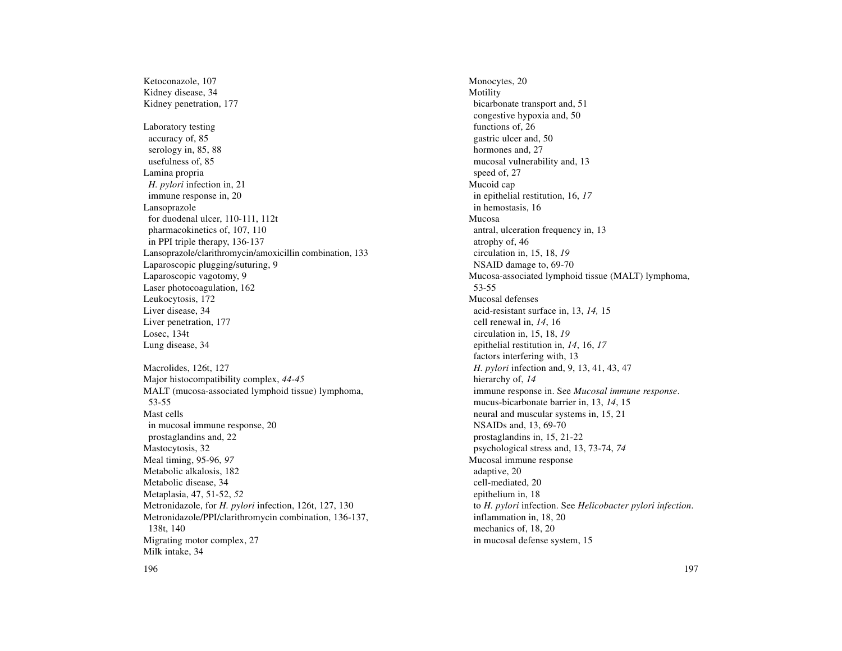Ketoconazole, 107 Kidney disease, 34 Kidney penetration, 177 Laboratory testing accuracy of, 85 serology in, 85, 88 usefulness of, 85 Lamina propria *H. pylori* infection in, 21 immune response in, 20 Lansoprazole for duodenal ulcer, 110-111, 112t pharmacokinetics of, 107, 110 in PPI triple therapy, 136-137 Lansoprazole/clarithromycin/amoxicillin combination, 133 Laparoscopic plugging/suturing, 9 Laparoscopic vagotomy, 9 Laser photocoagulation, 162 Leukocytosis, 172 Liver disease, 34 Liver penetration, 177 Losec, 134t Lung disease, 34 Macrolides, 126t, 127 Major histocompatibility complex, *44-45* MALT (mucosa-associated lymphoid tissue) lymphoma, 53-55 Mast cells in mucosal immune response, 20 prostaglandins and, 22 Mastocytosis, 32 Meal timing, 95-96, *97* Metabolic alkalosis, 182 Metabolic disease, 34 Metaplasia, 47, 51-52, *52* Metronidazole, for *H. pylori* infection, 126t, 127, 130 Metronidazole/PPI/clarithromycin combination, 136-137, 138t, 140 Migrating motor complex, 27 Milk intake, 34

Monocytes, 20 Motility bicarbonate transport and, 51 congestive hypoxia and, 50 functions of, 26 gastric ulcer and, 50 hormones and, 27 mucosal vulnerability and, 13 speed of, 27 Mucoid cap in epithelial restitution, 16, *17* in hemostasis, 16 Mucosa antral, ulceration frequency in, 13 atrophy of, 46 circulation in, 15, 18, *19* NSAID damage to, 69-70 Mucosa-associated lymphoid tissue (MALT) lymphoma, 53-55 Mucosal defenses acid-resistant surface in, 13, *14,* 15 cell renewal in, *14*, 16 circulation in, 15, 18, *19* epithelial restitution in, *14*, 16, *17* factors interfering with, 13 *H. pylori* infection and, 9, 13, 41, 43, 47 hierarchy of, *14* immune response in. See *Mucosal immune response*. mucus-bicarbonate barrier in, 13, *14*, 15 neural and muscular systems in, 15, 21 NSAIDs and, 13, 69-70 prostaglandins in, 15, 21-22 psychological stress and, 13, 73-74, *74* Mucosal immune response adaptive, 20 cell-mediated, 20 epithelium in, 18 to *H. pylori* infection. See *Helicobacter pylori infection*. inflammation in, 18, 20 mechanics of, 18, 20 in mucosal defense system, 15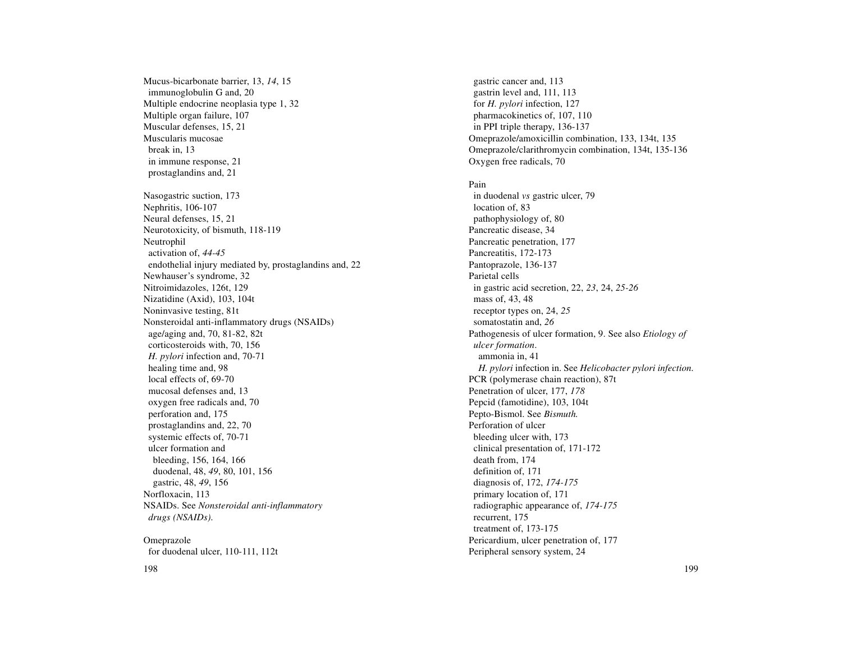Mucus-bicarbonate barrier, 13, *14*, 15 immunoglobulin G and, 20 Multiple endocrine neoplasia type 1, 32 Multiple organ failure, 107 Muscular defenses, 15, 21 Muscularis mucosae break in, 13 in immune response, 21 prostaglandins and, 21 Nasogastric suction, 173 Nephritis, 106-107 Neural defenses, 15, 21 Neurotoxicity, of bismuth, 118-119 Neutrophil activation of, *44-45* endothelial injury mediated by, prostaglandins and, 22 Newhauser's syndrome, 32 Nitroimidazoles, 126t, 129 Nizatidine (Axid), 103, 104t Noninvasive testing, 81t Nonsteroidal anti-inflammatory drugs (NSAIDs) age/aging and, 70, 81-82, 82t corticosteroids with, 70, 156 *H. pylori* infection and, 70-71 healing time and, 98 local effects of, 69-70 mucosal defenses and, 13 oxygen free radicals and, 70 perforation and, 175 prostaglandins and, 22, 70 systemic effects of, 70-71 ulcer formation and bleeding, 156, 164, 166 duodenal, 48, *49*, 80, 101, 156 gastric, 48, *49*, 156 Norfloxacin, 113 NSAIDs. See *Nonsteroidal anti-inflammatory drugs (NSAIDs)*.

Omeprazole for duodenal ulcer, 110-111, 112t

gastric cancer and, 113 gastrin level and, 111, 113 for *H. pylori* infection, 127 pharmacokinetics of, 107, 110 in PPI triple therapy, 136-137 Omeprazole/amoxicillin combination, 133, 134t, 135 Omeprazole/clarithromycin combination, 134t, 135-136 Oxygen free radicals, 70

Pain

in duodenal *vs* gastric ulcer, 79 location of, 83 pathophysiology of, 80 Pancreatic disease, 34 Pancreatic penetration, 177 Pancreatitis, 172-173 Pantoprazole, 136-137 Parietal cells in gastric acid secretion, 22, *23*, 24, *25-26* mass of, 43, 48 receptor types on, 24, *25* somatostatin and, *26* Pathogenesis of ulcer formation, 9. See also *Etiology of ulcer formation*. ammonia in, 41 *H. pylori* infection in. See *Helicobacter pylori infection*. PCR (polymerase chain reaction), 87t Penetration of ulcer, 177, *178* Pepcid (famotidine), 103, 104t Pepto-Bismol. See *Bismuth.* Perforation of ulcer bleeding ulcer with, 173 clinical presentation of, 171-172 death from, 174 definition of, 171 diagnosis of, 172, *174-175* primary location of, 171 radiographic appearance of, *174-175* recurrent, 175 treatment of, 173-175 Pericardium, ulcer penetration of, 177 Peripheral sensory system, 24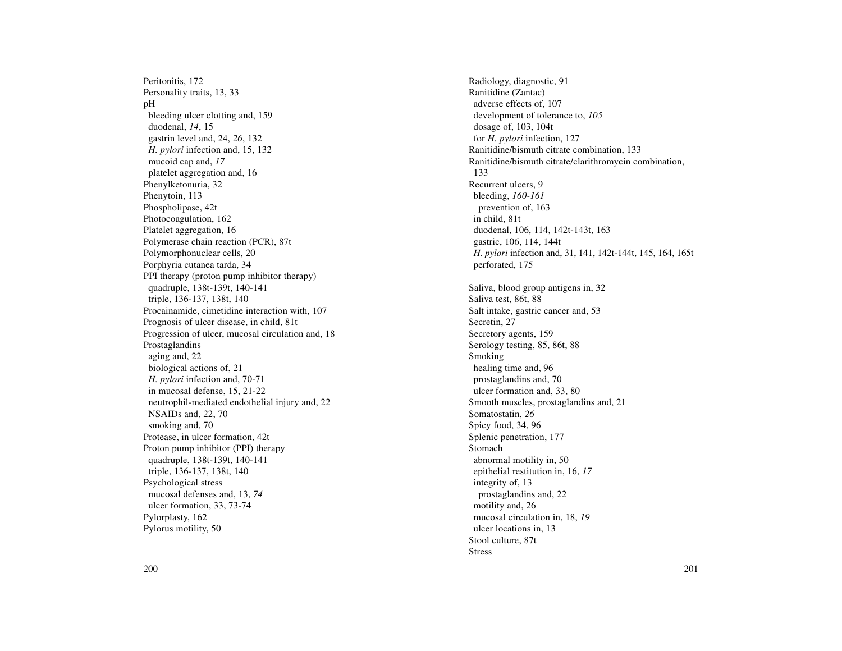Peritonitis, 172 Personality traits, 13, 33 pH bleeding ulcer clotting and, 159 duodenal, *14*, 15 gastrin level and, 24, *26*, 132 *H. pylori* infection and, 15, 132 mucoid cap and, *17* platelet aggregation and, 16 Phenylketonuria, 32 Phenytoin, 113 Phospholipase, 42t Photocoagulation, 162 Platelet aggregation, 16 Polymerase chain reaction (PCR), 87t Polymorphonuclear cells, 20 Porphyria cutanea tarda, 34 PPI therapy (proton pump inhibitor therapy) quadruple, 138t-139t, 140-141 triple, 136-137, 138t, 140 Procainamide, cimetidine interaction with, 107 Prognosis of ulcer disease, in child, 81t Progression of ulcer, mucosal circulation and, 18 Prostaglandins aging and, 22 biological actions of, 21 *H. pylori* infection and, 70-71 in mucosal defense, 15, 21-22 neutrophil-mediated endothelial injury and, 22 NSAIDs and, 22, 70 smoking and, 70 Protease, in ulcer formation, 42t Proton pump inhibitor (PPI) therapy quadruple, 138t-139t, 140-141 triple, 136-137, 138t, 140 Psychological stress mucosal defenses and, 13, *74* ulcer formation, 33, 73-74 Pylorplasty, 162 Pylorus motility, 50

Radiology, diagnostic, 91 Ranitidine (Zantac) adverse effects of, 107 development of tolerance to, *105* dosage of, 103, 104t for *H. pylori* infection, 127 Ranitidine/bismuth citrate combination, 133 Ranitidine/bismuth citrate/clarithromycin combination, 133 Recurrent ulcers, 9 bleeding, *160-161* prevention of, 163 in child, 81t duodenal, 106, 114, 142t-143t, 163 gastric, 106, 114, 144t *H. pylori* infection and, 31, 141, 142t-144t, 145, 164, 165t perforated, 175 Saliva, blood group antigens in, 32 Saliva test, 86t, 88 Salt intake, gastric cancer and, 53 Secretin, 27 Secretory agents, 159 Serology testing, 85, 86t, 88 Smoking healing time and, 96 prostaglandins and, 70 ulcer formation and, 33, 80 Smooth muscles, prostaglandins and, 21 Somatostatin, *26* Spicy food, 34, 96 Splenic penetration, 177 Stomach abnormal motility in, 50 epithelial restitution in, 16, *17* integrity of, 13 prostaglandins and, 22 motility and, 26 mucosal circulation in, 18, *19* ulcer locations in, 13 Stool culture, 87t Stress